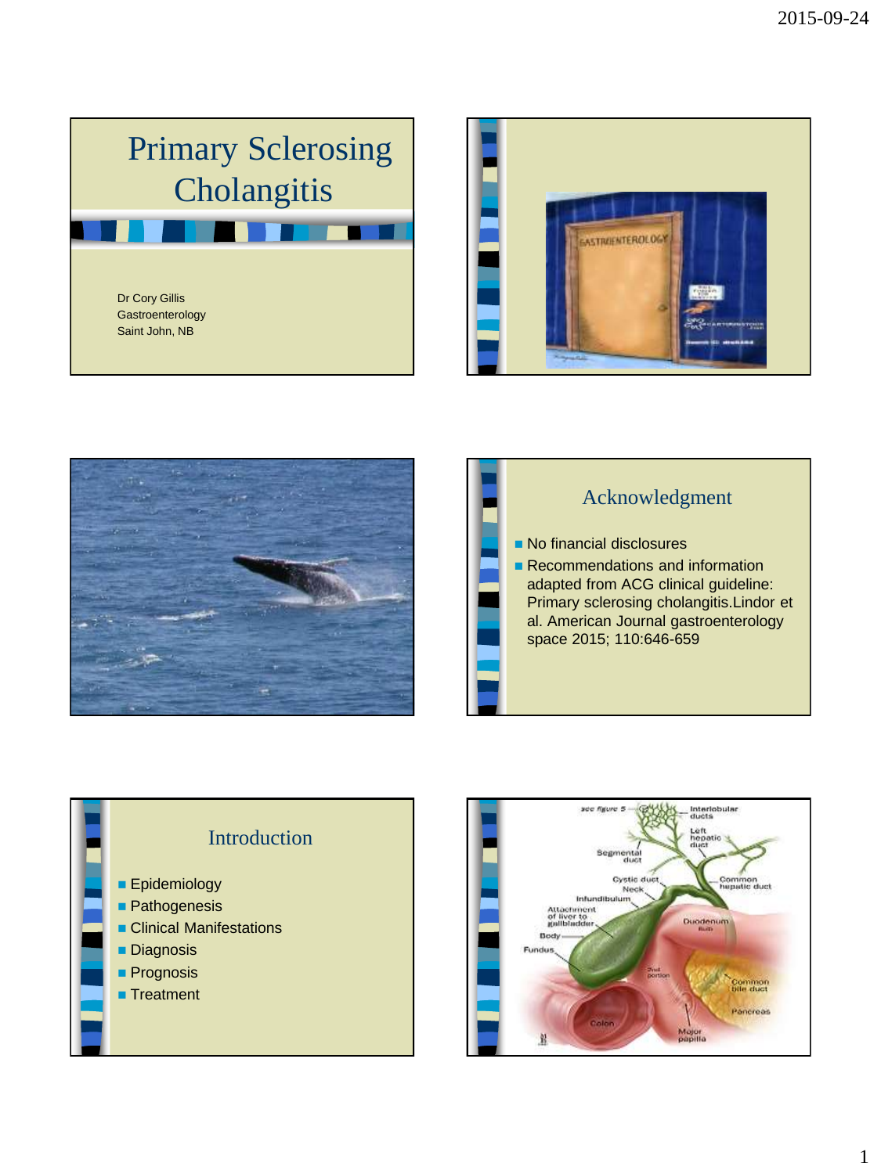## Primary Sclerosing **Cholangitis**

Dr Cory Gillis **Gastroenterology** Saint John, NB









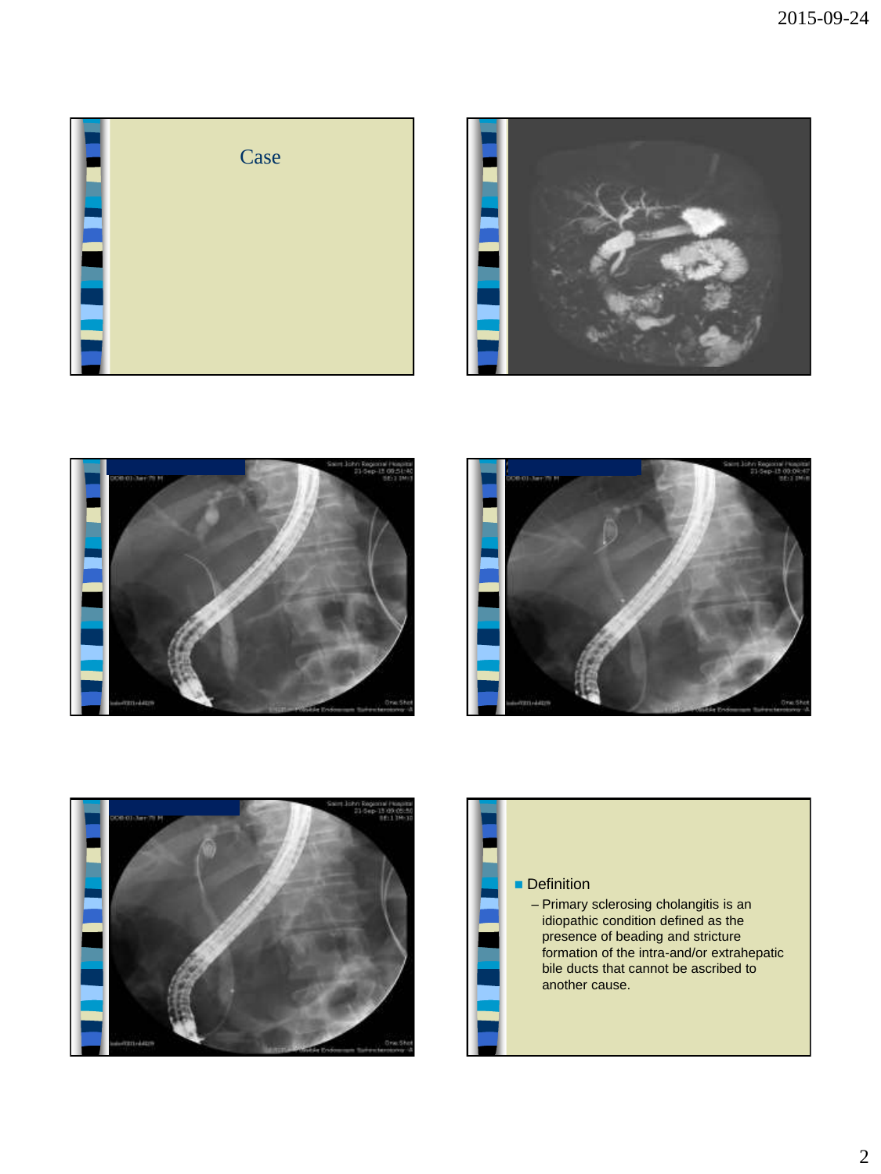









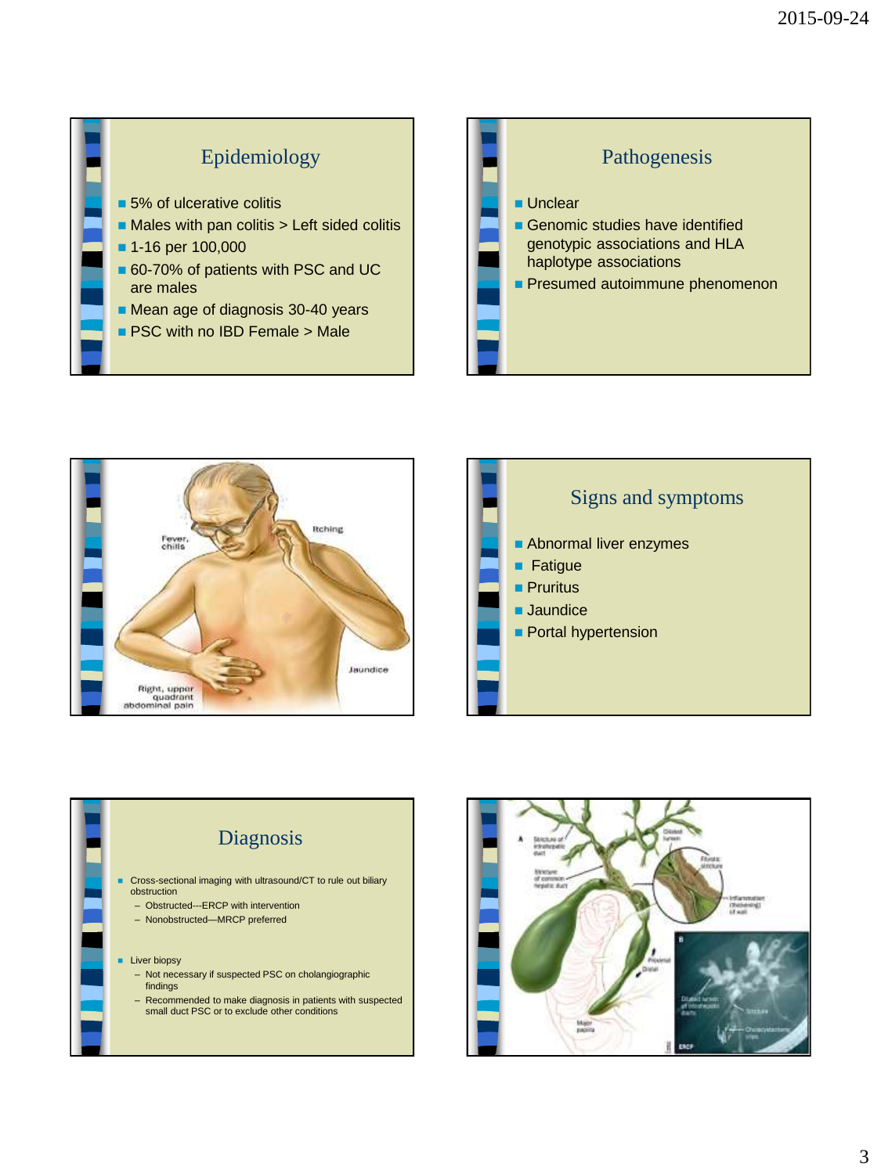









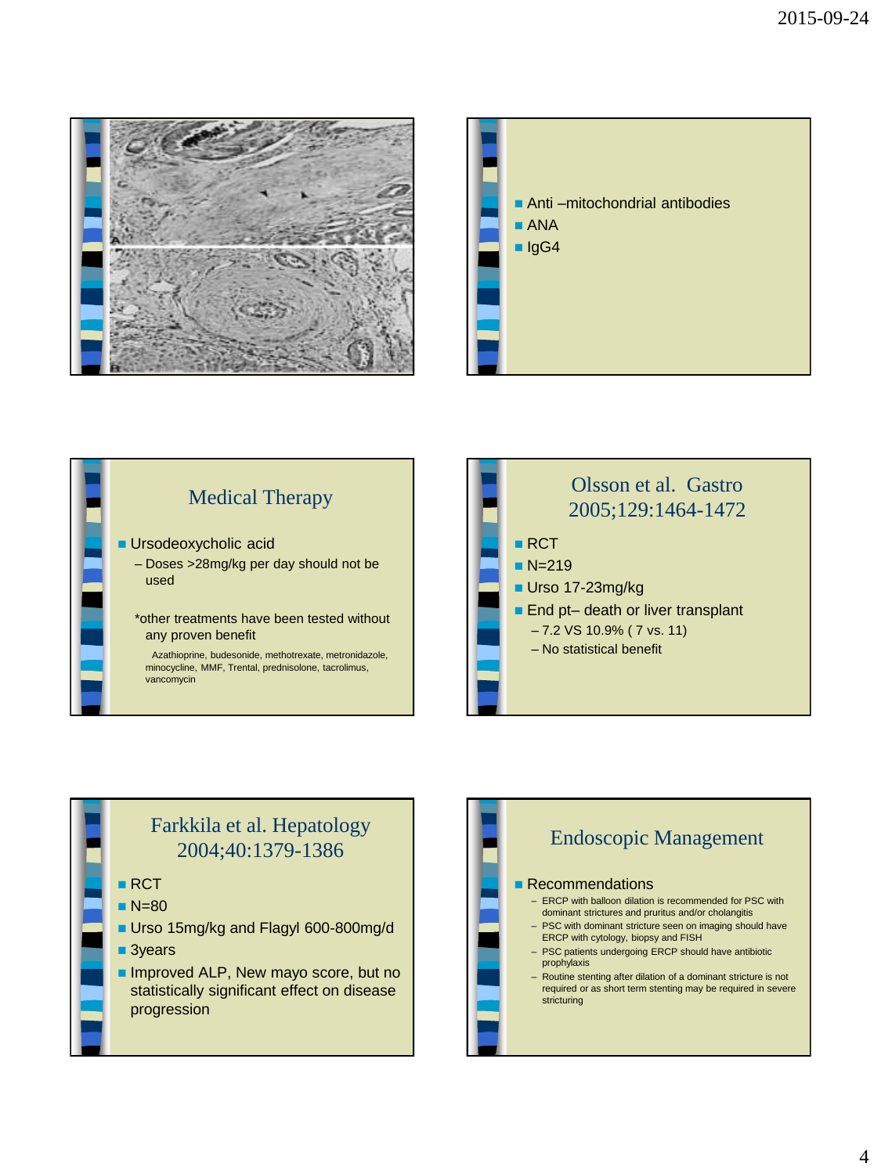









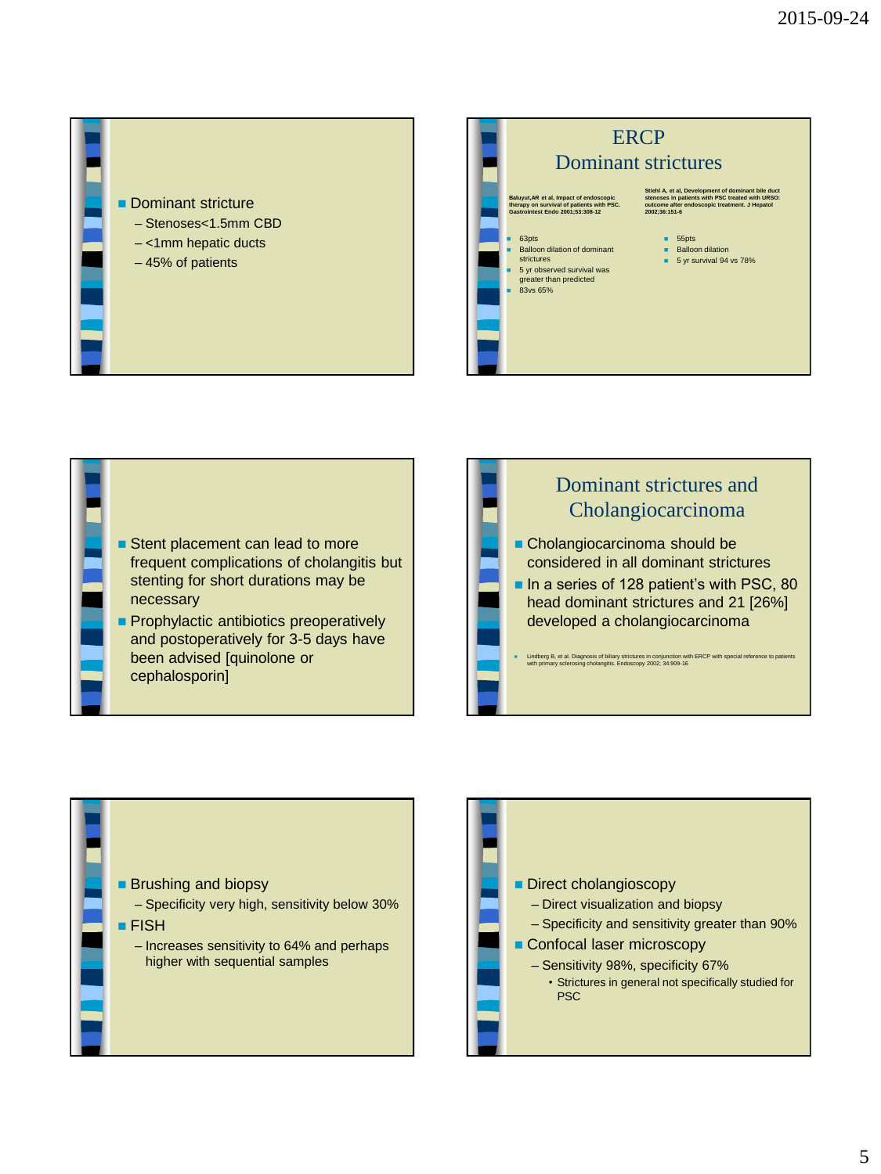**Dominant stricture** – Stenoses<1.5mm CBD – <1mm hepatic ducts – 45% of patients









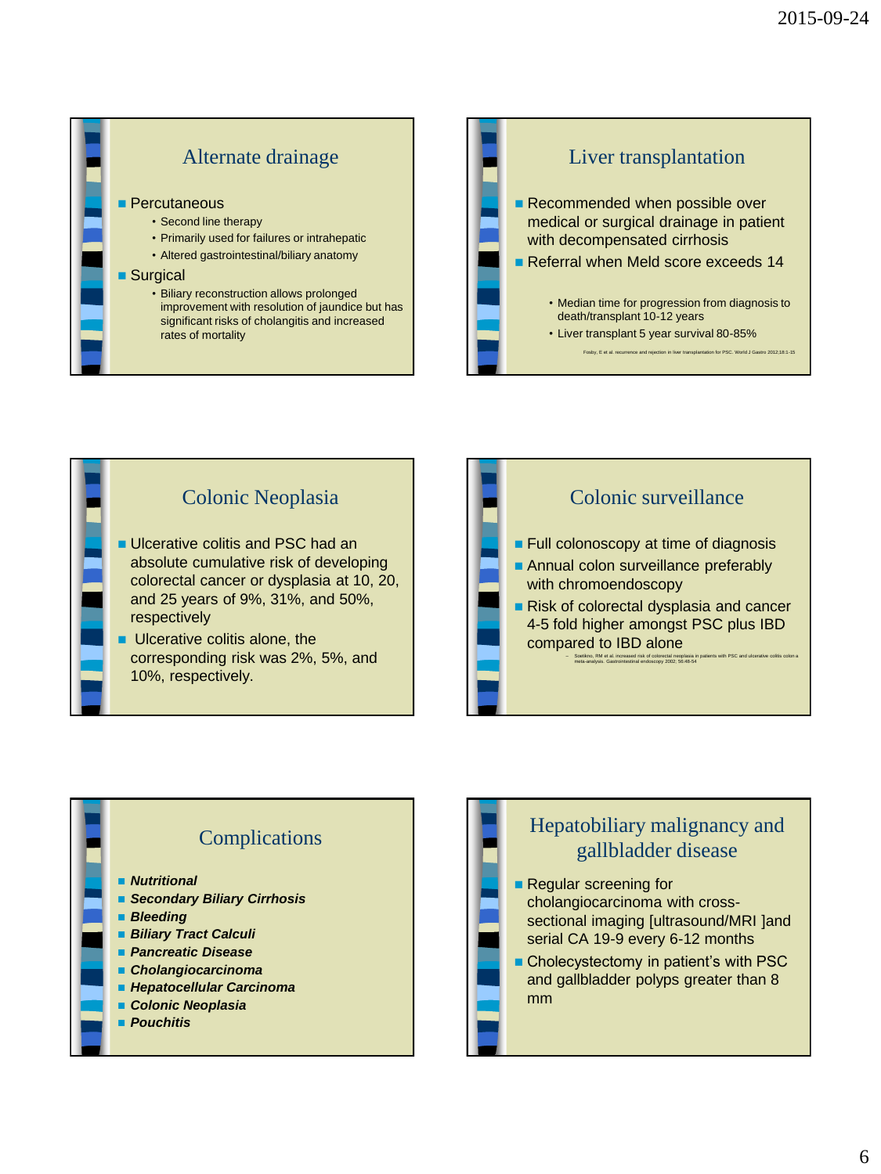







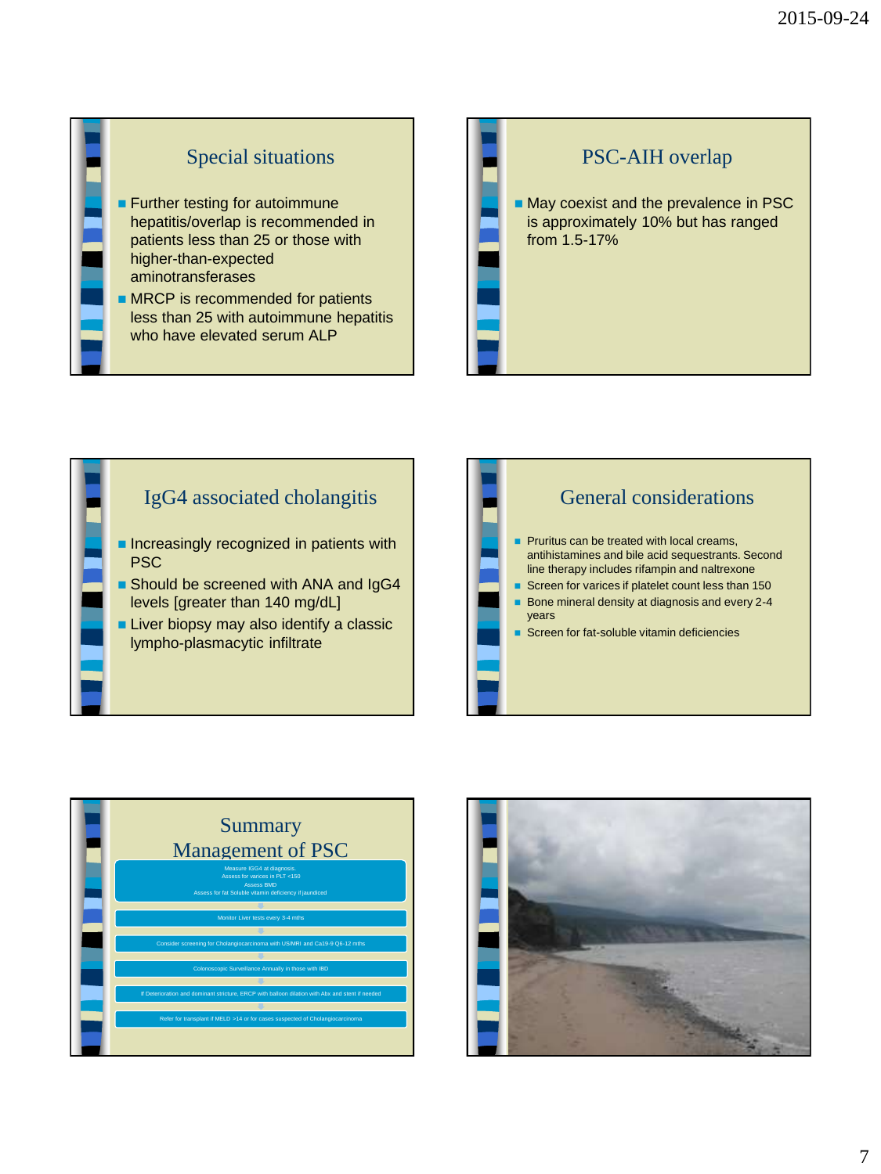## Special situations

- **Further testing for autoimmune** hepatitis/overlap is recommended in patients less than 25 or those with higher-than-expected aminotransferases
- **MRCP** is recommended for patients less than 25 with autoimmune hepatitis who have elevated serum ALP